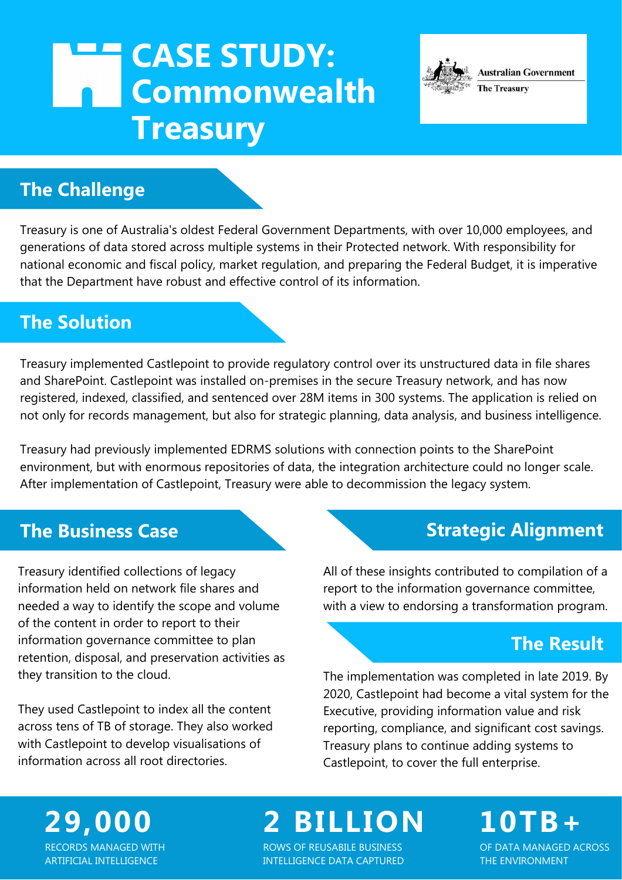## **CASE STUDY:**  $\overline{\phantom{a}}$ **Commonwealth Treasury**

## **The Challenge**

Treasury is one of Australia's oldest Federal Government Departments, with over 10,000 employees, and generations of data stored across multiple systems in their Protected network. With responsibility for national economic and fiscal policy, market regulation, and preparing the Federal Budget, it is imperative that the Department have robust and effective control of its information.

## **The Solution**

Treasury implemented Castlepoint to provide regulatory control over its unstructured data in file shares and SharePoint. Castlepoint was installed on-premises in the secure Treasury network, and has now registered, indexed, classified, and sentenced over 28M items in 300 systems. The application is relied on not only for records management, but also for strategic planning, data analysis, and business intelligence.

Treasury had previously implemented EDRMS solutions with connection points to the SharePoint environment, but with enormous repositories of data, the integration architecture could no longer scale. After implementation of Castlepoint, Treasury were able to decommission the legacy system.

### **The Business Case**

Treasury identified collections of legacy information held on network file shares and needed a way to identify the scope and volume of the content in order to report to their information governance committee to plan retention, disposal, and preservation activities as they transition to the cloud.

They used Castlepoint to index all the content across tens of TB of storage. They also worked with Castlepoint to develop visualisations of information across all root directories.

## **Strategic Alignment**

**Australian Government** 

**The Treasury** 

All of these insights contributed to compilation of a report to the information governance committee, with a view to endorsing a transformation program.

## **The Result**

The implementation was completed in late 2019. By 2020, Castlepoint had become a vital system for the Executive, providing information value and risk reporting, compliance, and significant cost savings. Treasury plans to continue adding systems to Castlepoint, to cover the full enterprise.

#### **29,000** RECORDS MANAGED WITH ARTIFICIAL INTELLIGENCE

# **2 BILLION 10TB+**

ROWS OF REUSABILE BUSINESS INTELLIGENCE DATA CAPTURED

OF DATA MANAGED ACROSS THE ENVIRONMENT